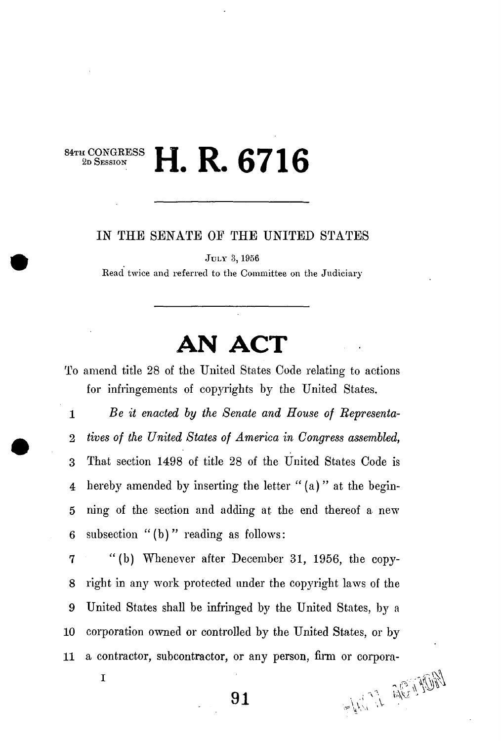## 84TH CONGRESS<br>2D SESSION **2D SESSION H. R. 6716**

## *IN* THE SENATE OF THE UNITED STATES

**JUL Y 3,1956** 

**Read twice and referred to the Committee on the Judiciary** 

## **AN ACT**

To amend title 28 of the United States Code relating to actions for infringements of copyrights by the United States.

2 *tives of the United States of America in Congress assembled,*  3 That section 1498 of title 28 of the United States Code is 4 hereby amended by inserting the letter " (a) " at the begin-5 ning of the section and adding at the end thereof a new 6 subsection "(b) " reading as follows: **1** *Be it enacted by the Senate and House of Bepresenta-*

7 "(b) Whenever after December 31, 1956, the copy-8 right in *any* work protected under the copyright laws of the 9 United States shall be infringed by the United States, by a **1 0** corporation owned or controlled by the United States, or by **1 1** a contractor, subcontractor, or any person, firm or corpora-

**I**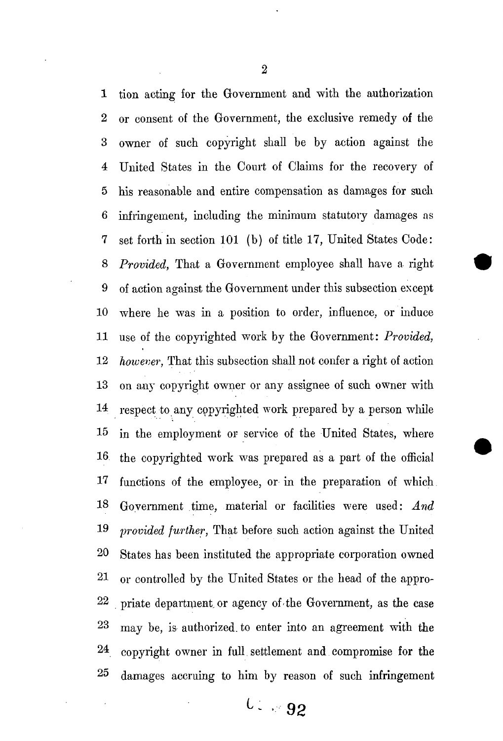tion acting for the Government and with the authorization or consent of the Government, the exclusive remedy of the owner of such copyright shall be by action against the United States in the Court of Claims for the recovery of his reasonable and entire compensation as damages for such infringement, including the minimum statutory damages as 7 set forth in section 101 (b) of title 17, United States Code:  *Provided,* That a Government employee shall have a right of action against the Government under this subsection except **0** where he was in a position to order, influence, or induce **1** use of the copyrighted work by the Government: *Provided,*  **2** *however,* That this subsection shall not confer a right of action **3** on any copyright owner or any assignee of such owner with **4** respect to any copyrighted work prepared by a person while **5** in the employment or service of the United States, where **6** the copyrighted work was prepared as a part of the official functions of the employee, or in the preparation of which **8** Government time, material or facilities were used: *And*  **9** *provided further,* That before such action against the United **0** States has been instituted the appropriate corporation owned **1** or controlled *hy* the United States or the head of the appro- **2** priate department, or agency of the Government, as the case **3** may be, is authorized, to enter into an agreement with the **4** copyright owner in full, settlement and compromise for the damages accruing to him by reason of such infringement

 $\overline{2}$ 

*1 : 92*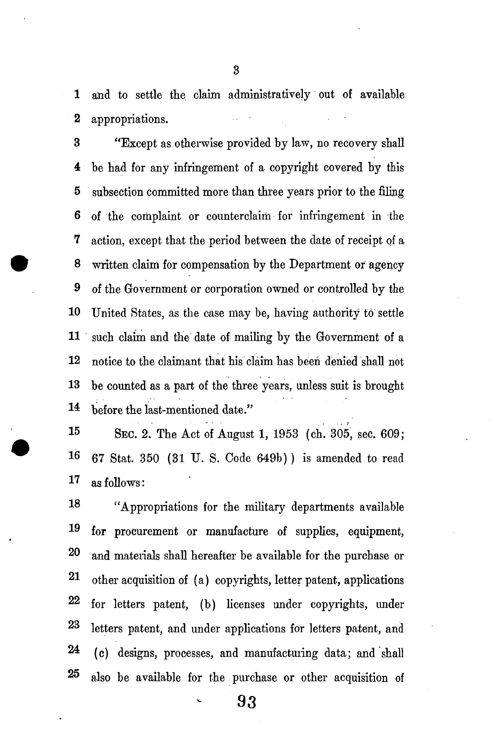**1** and to settle the. claim administratively out of available 2 appropriations.

3 "Except as otherwise provided by law, no recovery shall 4 be had for any infringement of a copyright covered by this 5 subsection committed more than three years prior to the filing 6 of the complaint or counterclaim for infringement in the 7 action, except that the period between the date of receipt of a 8 written claim for compensation by the Department or agency **9** of the Government or corporation owned or controlled by the **10** United States, as the case may be, having authority to settle **1 1** such claim and the date of mailing by the Government of a **1 2** notice to the claimant that his claim has been denied shall not **1 3** be counted as a part of the three years, unless suit is brought **14=** before the last-mentioned date."

**1 5 SEC. 2.** The Act of August **1,** 1953 (ch. 305, sec. 609; 16 67 Stat. 350 (31 U. S. Code 649b) ) is amended to read **1^** as follows:

18 "Appropriations for the military departments available **1^** for procurement or manufacture of supplies, equipment, **0** and materials shall hereafter be available for the purchase or **1** other acquisition of (a) copyrights, letter patent, applications **2** for letters patent, (b) licenses under copyrights, under **3** letters patent, and under applications for letters patent, and (c) designs, processes, and manufacturing data; and shall 25 also be available for the purchase or other acquisition of

3

**93**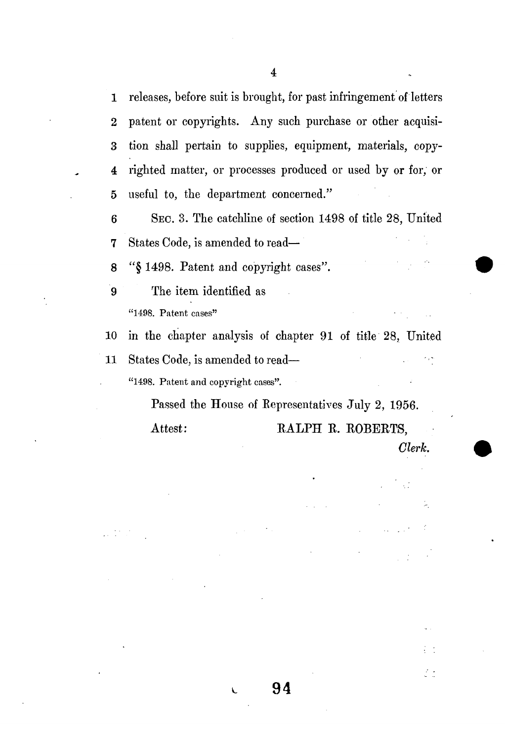1 releases, before suit is brought, for past infringement of letters **2** patent or copyrights. Any such purchase or other acquisi-3 tion shall pertain to supplies, equipment, materials, copy-4 righted matter, or processes produced or used by or for, or 5 useful to, the department concerned."

**6 SEC. 3 .** The catchline of section **149 8** of title **28 ,** United 7 States Code, is amended to read—

8 **"§ 1498 .** Patent and copyright cases".

9 The item identified as **"1498. Patent cases"** 

**1 0** in the chapter analysis of chapter **9 1** of title **28 ,** United **1 1** States Code, is amended to read— ; **"1498. Patent and copyright cases".** 

**V- 94** 

Passed the House of Representatives July **2, 1956 .**  Attest: RALPH R. ROBERTS,

*Clerk.* 

 $\frac{1}{2}$